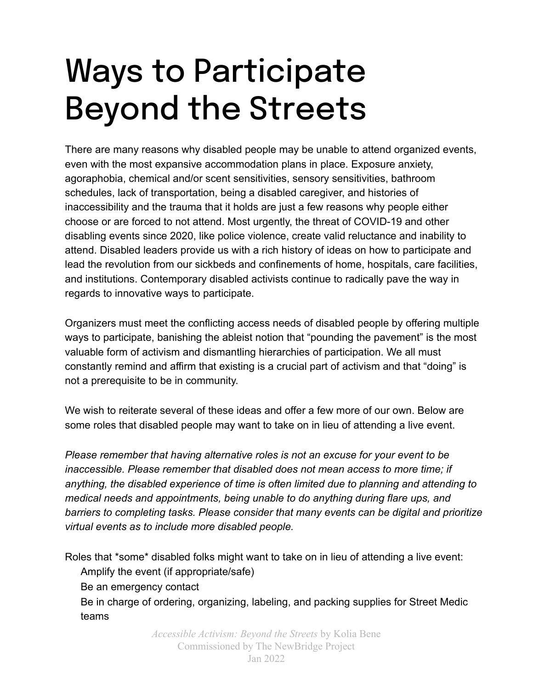## Ways to Participate Beyond the Streets

There are many reasons why disabled people may be unable to attend organized events, even with the most expansive accommodation plans in place. Exposure anxiety, agoraphobia, chemical and/or scent sensitivities, sensory sensitivities, bathroom schedules, lack of transportation, being a disabled caregiver, and histories of inaccessibility and the trauma that it holds are just a few reasons why people either choose or are forced to not attend. Most urgently, the threat of COVID-19 and other disabling events since 2020, like police violence, create valid reluctance and inability to attend. Disabled leaders provide us with a rich history of ideas on how to participate and lead the revolution from our sickbeds and confinements of home, hospitals, care facilities, and institutions. Contemporary disabled activists continue to radically pave the way in regards to innovative ways to participate.

Organizers must meet the conflicting access needs of disabled people by offering multiple ways to participate, banishing the ableist notion that "pounding the pavement" is the most valuable form of activism and dismantling hierarchies of participation. We all must constantly remind and affirm that existing is a crucial part of activism and that "doing" is not a prerequisite to be in community.

We wish to reiterate several of these ideas and offer a few more of our own. Below are some roles that disabled people may want to take on in lieu of attending a live event.

*Please remember that having alternative roles is not an excuse for your event to be inaccessible. Please remember that disabled does not mean access to more time; if anything, the disabled experience of time is often limited due to planning and attending to medical needs and appointments, being unable to do anything during flare ups, and barriers to completing tasks. Please consider that many events can be digital and prioritize virtual events as to include more disabled people.*

Roles that \*some\* disabled folks might want to take on in lieu of attending a live event:

Amplify the event (if appropriate/safe)

Be an emergency contact

Be in charge of ordering, organizing, labeling, and packing supplies for Street Medic teams

> *Accessible Activism: Beyond the Streets* by Kolia Bene Commissioned by The NewBridge Project Jan 2022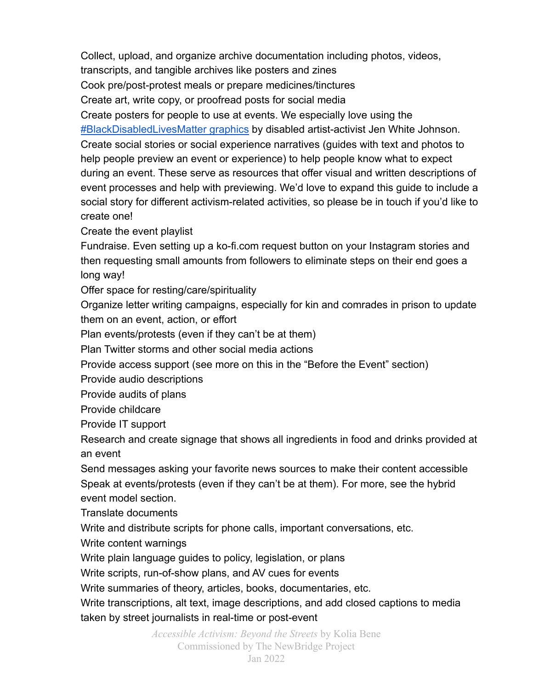Collect, upload, and organize archive documentation including photos, videos, transcripts, and tangible archives like posters and zines Cook pre/post-protest meals or prepare medicines/tinctures Create art, write copy, or proofread posts for social media Create posters for people to use at events. We especially love using the [#BlackDisabledLivesMatter graphics](https://jenwhitejohnson.com/) by disabled artist-activist Jen White Johnson. Create social stories or social experience narratives (guides with text and photos to help people preview an event or experience) to help people know what to expect during an event. These serve as resources that offer visual and written descriptions of event processes and help with previewing. We'd love to expand this guide to include a social story for different activism-related activities, so please be in touch if you'd like to create one!

Create the event playlist

Fundraise. Even setting up a ko-fi.com request button on your Instagram stories and then requesting small amounts from followers to eliminate steps on their end goes a long way!

Offer space for resting/care/spirituality

Organize letter writing campaigns, especially for kin and comrades in prison to update them on an event, action, or effort

Plan events/protests (even if they can't be at them)

Plan Twitter storms and other social media actions

Provide access support (see more on this in the "Before the Event" section)

Provide audio descriptions

Provide audits of plans

Provide childcare

Provide IT support

Research and create signage that shows all ingredients in food and drinks provided at an event

Send messages asking your favorite news sources to make their content accessible Speak at events/protests (even if they can't be at them). For more, see the hybrid event model section.

Translate documents

Write and distribute scripts for phone calls, important conversations, etc.

Write content warnings

Write plain language guides to policy, legislation, or plans

Write scripts, run-of-show plans, and AV cues for events

Write summaries of theory, articles, books, documentaries, etc.

Write transcriptions, alt text, image descriptions, and add closed captions to media taken by street journalists in real-time or post-event

> *Accessible Activism: Beyond the Streets* by Kolia Bene Commissioned by The NewBridge Project Jan 2022